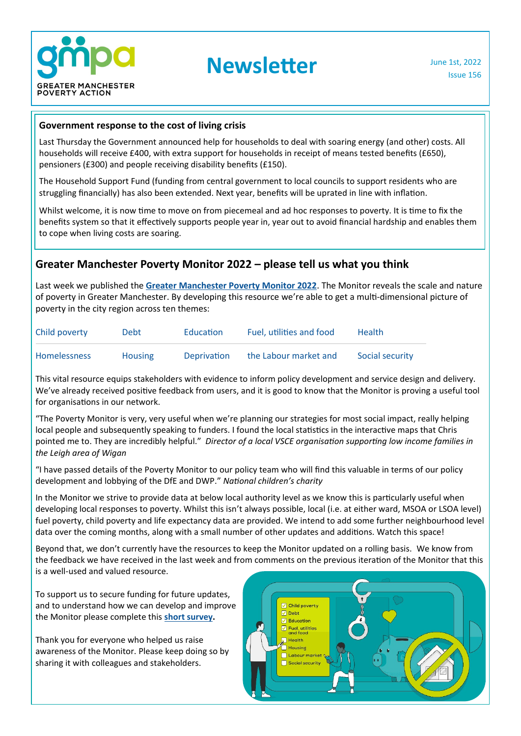

**Newsletter** June 1st, 2022

Issue 156

#### **Government response to the cost of living crisis**

Last Thursday the Government announced help for households to deal with soaring energy (and other) costs. All households will receive £400, with extra support for households in receipt of means tested benefits (£650), pensioners (£300) and people receiving disability benefits (£150).

The Household Support Fund (funding from central government to local councils to support residents who are struggling financially) has also been extended. Next year, benefits will be uprated in line with inflation.

Whilst welcome, it is now time to move on from piecemeal and ad hoc responses to poverty. It is time to fix the benefits system so that it effectively supports people year in, year out to avoid financial hardship and enables them to cope when living costs are soaring.

#### **Greater Manchester Poverty Monitor 2022 – please tell us what you think**

Last week we published the **[Greater Manchester Poverty Monitor 2022](https://www.gmpovertyaction.org/poverty-monitor-2022/)**. The Monitor reveals the scale and nature of poverty in Greater Manchester. By developing this resource we're able to get a multi-dimensional picture of poverty in the city region across ten themes:

| Child poverty       | Debt           | Education          | Fuel, utilities and food | Health          |
|---------------------|----------------|--------------------|--------------------------|-----------------|
| <b>Homelessness</b> | <b>Housing</b> | <b>Deprivation</b> | the Labour market and    | Social security |

This vital resource equips stakeholders with evidence to inform policy development and service design and delivery. We've already received positive feedback from users, and it is good to know that the Monitor is proving a useful tool for organisations in our network.

"The Poverty Monitor is very, very useful when we're planning our strategies for most social impact, really helping local people and subsequently speaking to funders. I found the local statistics in the interactive maps that Chris pointed me to. They are incredibly helpful." *Director of a local VSCE organisation supporting low income families in the Leigh area of Wigan*

"I have passed details of the Poverty Monitor to our policy team who will find this valuable in terms of our policy development and lobbying of the DfE and DWP." *National children's charity*

In the Monitor we strive to provide data at below local authority level as we know this is particularly useful when developing local responses to poverty. Whilst this isn't always possible, local (i.e. at either ward, MSOA or LSOA level) fuel poverty, child poverty and life expectancy data are provided. We intend to add some further neighbourhood level data over the coming months, along with a small number of other updates and additions. Watch this space!

Beyond that, we don't currently have the resources to keep the Monitor updated on a rolling basis. We know from the feedback we have received in the last week and from comments on the previous iteration of the Monitor that this is a well-used and valued resource.

To support us to secure funding for future updates, and to understand how we can develop and improve the Monitor please complete this **[short survey.](https://www.surveymonkey.co.uk/r/F5JN7BF)**

Thank you for everyone who helped us raise awareness of the Monitor. Please keep doing so by sharing it with colleagues and stakeholders.

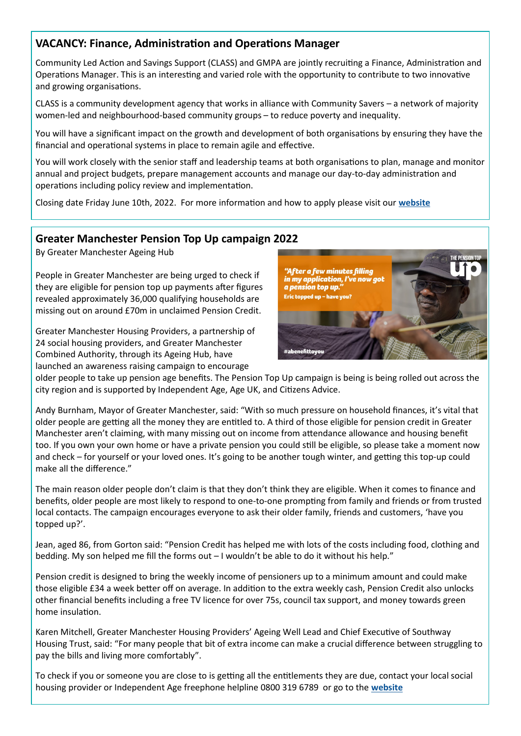## **VACANCY: Finance, Administration and Operations Manager**

Community Led Action and Savings Support (CLASS) and GMPA are jointly recruiting a Finance, Administration and Operations Manager. This is an interesting and varied role with the opportunity to contribute to two innovative and growing organisations.

CLASS is a community development agency that works in alliance with Community Savers – a network of majority women-led and neighbourhood-based community groups – to reduce poverty and inequality.

You will have a significant impact on the growth and development of both organisations by ensuring they have the financial and operational systems in place to remain agile and effective.

You will work closely with the senior staff and leadership teams at both organisations to plan, manage and monitor annual and project budgets, prepare management accounts and manage our day-to-day administration and operations including policy review and implementation.

Closing date Friday June 10th, 2022. For more information and how to apply please visit our **[website](https://www.gmpovertyaction.org/jobs/)**

#### **Greater Manchester Pension Top Up campaign 2022**

By [Greater Manchester Ageing Hub](https://www.greatermanchester-ca.gov.uk/what-we-do/equalities/ageing-hub)

People in Greater Manchester are being urged to check if they are eligible for pension top up payments after figures revealed approximately 36,000 qualifying households are missing out on around £70m in unclaimed Pension Credit.

Greater Manchester Housing Providers, a partnership of 24 social housing providers, and Greater Manchester Combined Authority, through its Ageing Hub, have launched an awareness raising campaign to encourage



older people to take up pension age benefits. The Pension Top Up campaign is being is being rolled out across the city region and is supported by Independent Age, Age UK, and Citizens Advice.

Andy Burnham, Mayor of Greater Manchester, said: "With so much pressure on household finances, it's vital that older people are getting all the money they are entitled to. A third of those eligible for pension credit in Greater Manchester aren't claiming, with many missing out on income from attendance allowance and housing benefit too. If you own your own home or have a private pension you could still be eligible, so please take a moment now and check – for yourself or your loved ones. It's going to be another tough winter, and getting this top-up could make all the difference."

The main reason older people don't claim is that they don't think they are eligible. When it comes to finance and benefits, older people are most likely to respond to one-to-one prompting from family and friends or from trusted local contacts. The campaign encourages everyone to ask their older family, friends and customers, 'have you topped up?'.

Jean, aged 86, from Gorton said: "Pension Credit has helped me with lots of the costs including food, clothing and bedding. My son helped me fill the forms out – I wouldn't be able to do it without his help."

Pension credit is designed to bring the weekly income of pensioners up to a minimum amount and could make those eligible £34 a week better off on average. In addition to the extra weekly cash, Pension Credit also unlocks other financial benefits including a free TV licence for over 75s, council tax support, and money towards green home insulation.

Karen Mitchell, Greater Manchester Housing Providers' Ageing Well Lead and Chief Executive of Southway Housing Trust, said: "For many people that bit of extra income can make a crucial difference between struggling to pay the bills and living more comfortably".

To check if you or someone you are close to is getting all the entitlements they are due, contact your local social housing provider or Independent Age freephone helpline 0800 319 6789 or go to the **[website](https://www.independentage.org/get-support)**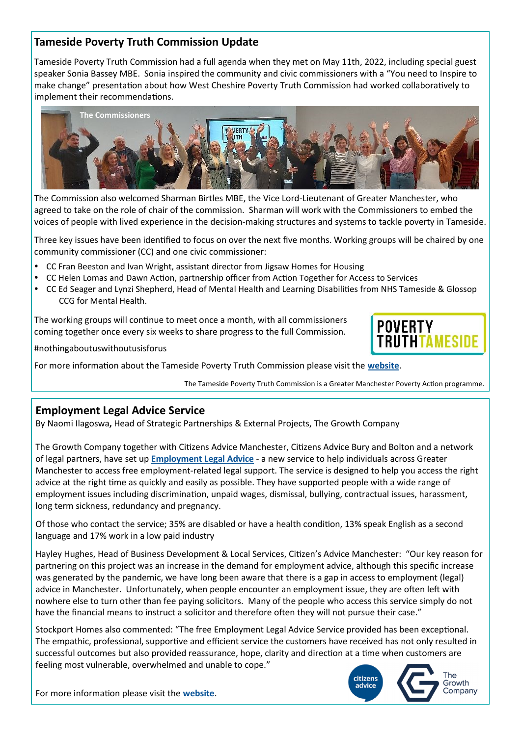## **Tameside Poverty Truth Commission Update**

Tameside Poverty Truth Commission had a full agenda when they met on May 11th, 2022, including special guest speaker Sonia Bassey MBE. Sonia inspired the community and civic commissioners with a "You need to Inspire to make change" presentation about how West Cheshire Poverty Truth Commission had worked collaboratively to implement their recommendations.



The Commission also welcomed Sharman Birtles MBE, the Vice Lord-Lieutenant of Greater Manchester, who agreed to take on the role of chair of the commission. Sharman will work with the Commissioners to embed the voices of people with lived experience in the decision-making structures and systems to tackle poverty in Tameside.

Three key issues have been identified to focus on over the next five months. Working groups will be chaired by one community commissioner (CC) and one civic commissioner:

- CC Fran Beeston and Ivan Wright, assistant director from Jigsaw Homes for Housing
- CC Helen Lomas and Dawn Action, partnership officer from Action Together for Access to Services
- CC Ed Seager and Lynzi Shepherd, Head of Mental Health and Learning Disabilities from NHS Tameside & Glossop CCG for Mental Health.

The working groups will continue to meet once a month, with all commissioners coming together once every six weeks to share progress to the full Commission.

#nothingaboutuswithoutusisforus

For more information about the Tameside Poverty Truth Commission please visit the **[website](https://www.gmpovertyaction.org/tameside-ptc/)**.

The Tameside Poverty Truth Commission is a Greater Manchester Poverty Action programme.

#### **Employment Legal Advice Service**

By Naomi Ilagoswa**,** Head of Strategic Partnerships & External Projects, The Growth Company

The Growth Company together with Citizens Advice Manchester, Citizens Advice Bury and Bolton and a network of legal partners, have set up **[Employment Legal Advice](https://employmentlegaladvice.org/)** - a new service to help individuals across Greater Manchester to access free employment-related legal support. The service is designed to help you access the right advice at the right time as quickly and easily as possible. They have supported people with a wide range of employment issues including discrimination, unpaid wages, dismissal, bullying, contractual issues, harassment, long term sickness, redundancy and pregnancy.

Of those who contact the service; 35% are disabled or have a health condition, 13% speak English as a second language and 17% work in a low paid industry

Hayley Hughes, Head of Business Development & Local Services, Citizen's Advice Manchester: "Our key reason for partnering on this project was an increase in the demand for employment advice, although this specific increase was generated by the pandemic, we have long been aware that there is a gap in access to employment (legal) advice in Manchester. Unfortunately, when people encounter an employment issue, they are often left with nowhere else to turn other than fee paying solicitors. Many of the people who access this service simply do not have the financial means to instruct a solicitor and therefore often they will not pursue their case."

Stockport Homes also commented: "The free Employment Legal Advice Service provided has been exceptional. The empathic, professional, supportive and efficient service the customers have received has not only resulted in successful outcomes but also provided reassurance, hope, clarity and direction at a time when customers are feeling most vulnerable, overwhelmed and unable to cope."



**POVERTY** 

For more information please visit the **[website](https://employmentlegaladvice.org/)**.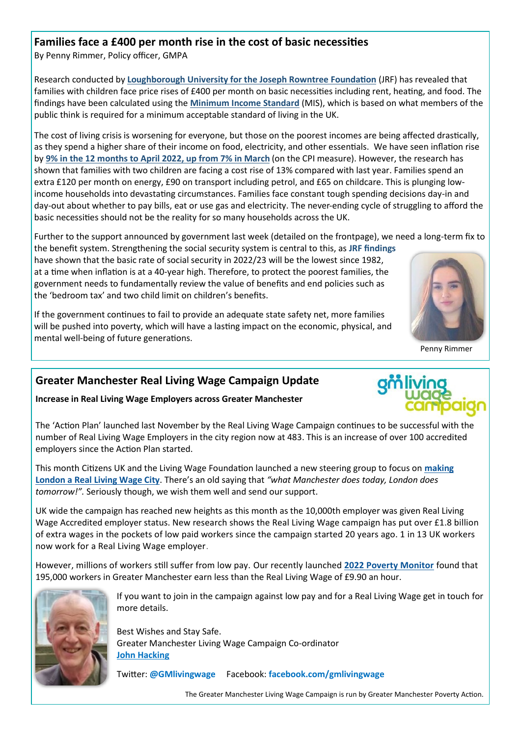## **Families face a £400 per month rise in the cost of basic necessities**

By Penny Rimmer, Policy officer, GMPA

Research conducted by **[Loughborough University for the Joseph Rowntree Foundation](https://www.lboro.ac.uk/research/crsp/news/2022/families-are-facing-increases-in-costs/)** (JRF) has revealed that families with children face price rises of £400 per month on basic necessities including rent, heating, and food. The findings have been calculated using the **[Minimum Income Standard](https://www.lboro.ac.uk/research/crsp/minimum-income-standard/)** (MIS), which is based on what members of the public think is required for a minimum acceptable standard of living in the UK.

The cost of living crisis is worsening for everyone, but those on the poorest incomes are being affected drastically, as they spend a higher share of their income on food, electricity, and other essentials. We have seen inflation rise by **[9% in the 12 months to April 2022, up from 7% in March](https://www.ons.gov.uk/economy/inflationandpriceindices/bulletins/consumerpriceinflation/april2022#:~:text=The%20Consumer%20Prices%20Index%20(CPI,of%200.6%25%20in%20April%202021.)** (on the CPI measure). However, the research has shown that families with two children are facing a cost rise of 13% compared with last year. Families spend an extra £120 per month on energy, £90 on transport including petrol, and £65 on childcare. This is plunging lowincome households into devastating circumstances. Families face constant tough spending decisions day-in and day-out about whether to pay bills, eat or use gas and electricity. The never-ending cycle of struggling to afford the basic necessities should not be the reality for so many households across the UK.

Further to the support announced by government last week (detailed on the frontpage), we need a long-term fix to the benefit system. Strengthening the social security system is central to this, as **JRF findings**  have shown that the basic rate of social security in 2022/23 will be the lowest since 1982, at a time when inflation is at a 40-year high. Therefore, to protect the poorest families, the government needs to fundamentally review the value of benefits and end policies such as the 'bedroom tax' and two child limit on children's benefits.

If the government continues to fail to provide an adequate state safety net, more families will be pushed into poverty, which will have a lasting impact on the economic, physical, and mental well-being of future generations.

# **Greater Manchester Real Living Wage Campaign Update**

**Increase in Real Living Wage Employers across Greater Manchester** 

The 'Action Plan' launched last November by the Real Living Wage Campaign continues to be successful with the number of Real Living Wage Employers in the city region now at 483. This is an increase of over 100 accredited employers since the Action Plan started.

This month Citizens UK and the Living Wage Foundation launched a new steering group to focus on **[making](https://www.citizensuk.org/campaigns/the-campaign-for-a-real-living-wage/making-london-a-living-wage-city/news/new-steering-group-launched-to-focus-on-making-london-a-living-wage-city/) [London a Real Living Wage City](https://www.citizensuk.org/campaigns/the-campaign-for-a-real-living-wage/making-london-a-living-wage-city/news/new-steering-group-launched-to-focus-on-making-london-a-living-wage-city/)**. There's an old saying that *"what Manchester does today, London does tomorrow!".* Seriously though, we wish them well and send our support.

UK wide the campaign has reached new heights as this month as the 10,000th employer was given Real Living Wage Accredited employer status. New research shows the Real Living Wage campaign has put over £1.8 billion of extra wages in the pockets of low paid workers since the campaign started 20 years ago. 1 in 13 UK workers now work for a Real Living Wage employer.

However, millions of workers still suffer from low pay. Our recently launched **[2022 Poverty Monitor](https://www.gmpovertyaction.org/poverty-monitor-2022/)** found that 195,000 workers in Greater Manchester earn less than the Real Living Wage of £9.90 an hour.



If you want to join in the campaign against low pay and for a Real Living Wage get in touch for more details.

Best Wishes and Stay Safe. Greater Manchester Living Wage Campaign Co-ordinator **[John Hacking](mailto:john@gmpovertyaction.org)**

Twitter: **[@GMlivingwage](https://twitter.com/GMLivingWage)** Facebook: **[facebook.com/gmlivingwage](http://facebook.com/gmlivingwage)**

The Greater Manchester Living Wage Campaign is run by Greater Manchester Poverty Action.



Penny Rimmer